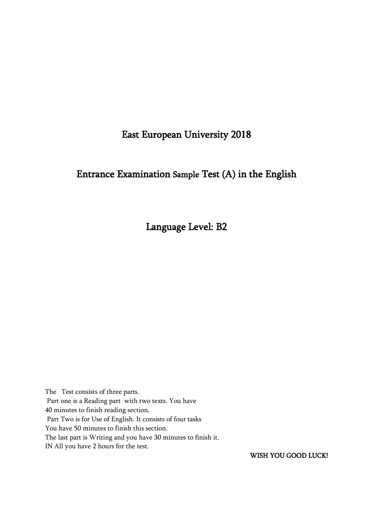# East European University 2018

# Entrance Examination Sample Test (A) in the English

Language Level: B2

The Test consists of three parts. Part one is a Reading part with two texts. You have 40 minutes to finish reading section. Part Two is for Use of English. It consists of four tasks You have 50 minutes to finish this section. The last part is Writing and you have 30 minutes to finish it. IN All you have 2 hours for the test.

WISH YOU GOOD LUCK!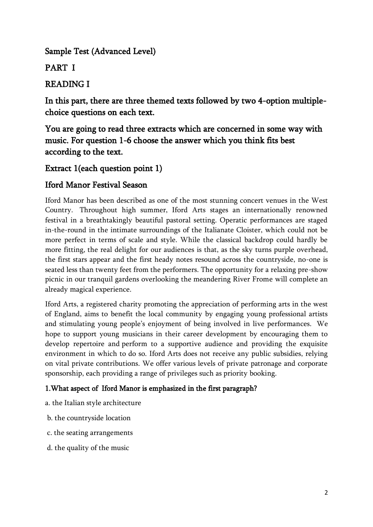Sample Test (Advanced Level)

PART I

READING I

In this part, there are three themed texts followed by two 4-option multiplechoice questions on each text.

You are going to read three extracts which are concerned in some way with music. For question 1-6 choose the answer which you think fits best according to the text.

# Extract 1(each question point 1)

# Iford Manor Festival Season

Iford Manor has been described as one of the most stunning concert venues in the West Country. Throughout high summer, Iford Arts stages an internationally renowned festival in a breathtakingly beautiful pastoral setting. Operatic performances are staged in-the-round in the intimate surroundings of the Italianate Cloister, which could not be more perfect in terms of scale and style. While the classical backdrop could hardly be more fitting, the real delight for our audiences is that, as the sky turns purple overhead, the first stars appear and the first heady notes resound across the countryside, no-one is seated less than twenty feet from the performers. The opportunity for a relaxing pre-show picnic in our tranquil gardens overlooking the meandering River Frome will complete an already magical experience.

Iford Arts, a registered charity promoting the appreciation of performing arts in the west of England, aims to benefit the local community by engaging young professional artists and stimulating young people's enjoyment of being involved in live performances. We hope to support young musicians in their career development by encouraging them to develop repertoire and perform to a supportive audience and providing the exquisite environment in which to do so. Iford Arts does not receive any public subsidies, relying on vital private contributions. We offer various levels of private patronage and corporate sponsorship, each providing a range of privileges such as priority booking.

# 1.What aspect of Iford Manor is emphasized in the first paragraph?

- a. the Italian style architecture
- b. the countryside location
- c. the seating arrangements
- d. the quality of the music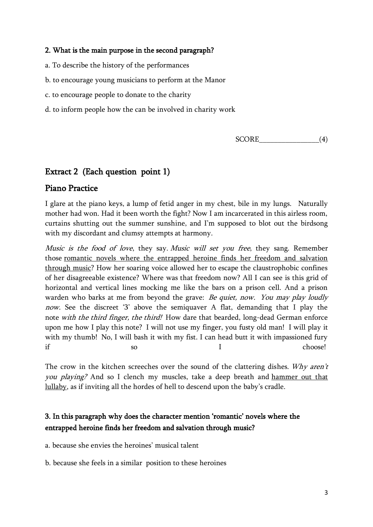#### 2. What is the main purpose in the second paragraph?

- a. To describe the history of the performances
- b. to encourage young musicians to perform at the Manor
- c. to encourage people to donate to the charity
- d. to inform people how the can be involved in charity work

SCORE (4)

# Extract 2 (Each question point 1)

# Piano Practice

I glare at the piano keys, a lump of fetid anger in my chest, bile in my lungs. Naturally mother had won. Had it been worth the fight? Now I am incarcerated in this airless room, curtains shutting out the summer sunshine, and I'm supposed to blot out the birdsong with my discordant and clumsy attempts at harmony.

Music is the food of love, they say. Music will set you free, they sang. Remember those romantic novels where the entrapped heroine finds her freedom and salvation through music? How her soaring voice allowed her to escape the claustrophobic confines of her disagreeable existence? Where was that freedom now? All I can see is this grid of horizontal and vertical lines mocking me like the bars on a prison cell. And a prison warden who barks at me from beyond the grave: Be quiet, now. You may play loudly now. See the discreet '3' above the semiquaver A flat, demanding that I play the note with the third finger, the third! How dare that bearded, long-dead German enforce upon me how I play this note? I will not use my finger, you fusty old man! I will play it with my thumb! No, I will bash it with my fist. I can head butt it with impassioned fury if so so I choose!

The crow in the kitchen screeches over the sound of the clattering dishes. Why aren't you playing? And so I clench my muscles, take a deep breath and hammer out that lullaby, as if inviting all the hordes of hell to descend upon the baby's cradle.

# 3. In this paragraph why does the character mention 'romantic' novels where the entrapped heroine finds her freedom and salvation through music?

a. because she envies the heroines' musical talent

b. because she feels in a similar position to these heroines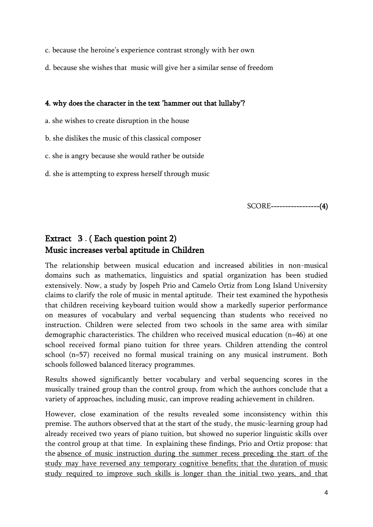c. because the heroine's experience contrast strongly with her own

d. because she wishes that music will give her a similar sense of freedom

#### 4. why does the character in the text 'hammer out that lullaby'?

- a. she wishes to create disruption in the house
- b. she dislikes the music of this classical composer
- c. she is angry because she would rather be outside
- d. she is attempting to express herself through music

SCORE-----------------(4)

# Extract 3 . ( Each question point 2) Music increases verbal aptitude in Children

The relationship between musical education and increased abilities in non-musical domains such as mathematics, linguistics and spatial organization has been studied extensively. Now, a study by Jospeh Prio and Camelo Ortiz from Long Island University claims to clarify the role of music in mental aptitude. Their test examined the hypothesis that children receiving keyboard tuition would show a markedly superior performance on measures of vocabulary and verbal sequencing than students who received no instruction. Children were selected from two schools in the same area with similar demographic characteristics. The children who received musical education (n=46) at one school received formal piano tuition for three years. Children attending the control school (n=57) received no formal musical training on any musical instrument. Both schools followed balanced literacy programmes.

Results showed significantly better vocabulary and verbal sequencing scores in the musically trained group than the control group, from which the authors conclude that a variety of approaches, including music, can improve reading achievement in children.

However, close examination of the results revealed some inconsistency within this premise. The authors observed that at the start of the study, the music-learning group had already received two years of piano tuition, but showed no superior linguistic skills over the control group at that time. In explaining these findings, Prio and Ortiz propose: that the absence of music instruction during the summer recess preceding the start of the study may have reversed any temporary cognitive benefits; that the duration of music study required to improve such skills is longer than the initial two years, and that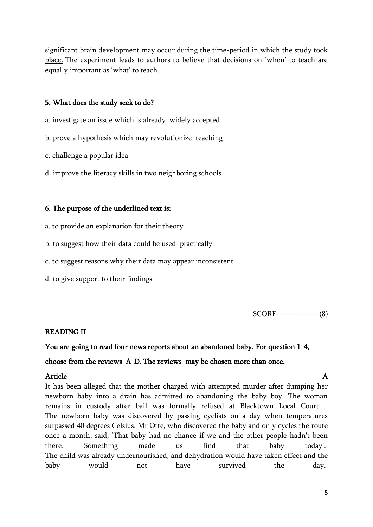significant brain development may occur during the time-period in which the study took place. The experiment leads to authors to believe that decisions on 'when' to teach are equally important as 'what' to teach.

### 5. What does the study seek to do?

- a. investigate an issue which is already widely accepted
- b. prove a hypothesis which may revolutionize teaching
- c. challenge a popular idea
- d. improve the literacy skills in two neighboring schools

### 6. The purpose of the underlined text is:

- a. to provide an explanation for their theory
- b. to suggest how their data could be used practically
- c. to suggest reasons why their data may appear inconsistent
- d. to give support to their findings

SCORE---------------(8)

#### READING II

#### You are going to read four news reports about an abandoned baby. For question 1-4,

#### choose from the reviews A-D. The reviews may be chosen more than once.

## Article A

It has been alleged that the mother charged with attempted murder after dumping her newborn baby into a drain has admitted to abandoning the baby boy. The woman remains in custody after bail was formally refused at Blacktown Local Court . The newborn baby was discovered by passing cyclists on a day when temperatures surpassed 40 degrees Celsius. Mr Otte, who discovered the baby and only cycles the route once a month, said, 'That baby had no chance if we and the other people hadn't been there. Something made us find that baby today'. The child was already undernourished, and dehydration would have taken effect and the baby would not have survived the day.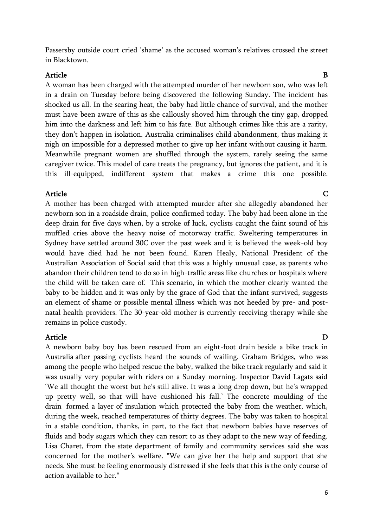Passersby outside court cried 'shame' as the accused woman's relatives crossed the street in Blacktown.

#### Article B

A woman has been charged with the attempted murder of her newborn son, who was left in a drain on Tuesday before being discovered the following Sunday. The incident has shocked us all. In the searing heat, the baby had little chance of survival, and the mother must have been aware of this as she callously shoved him through the tiny gap, dropped him into the darkness and left him to his fate. But although crimes like this are a rarity, they don't happen in isolation. Australia criminalises child abandonment, thus making it nigh on impossible for a depressed mother to give up her infant without causing it harm. Meanwhile pregnant women are shuffled through the system, rarely seeing the same caregiver twice. This model of care treats the pregnancy, but ignores the patient, and it is this ill-equipped, indifferent system that makes a crime this one possible.

#### Article C

A mother has been charged with attempted murder after she allegedly abandoned her newborn son in a roadside drain, police confirmed today. The baby had been alone in the deep drain for five days when, by a stroke of luck, cyclists caught the faint sound of his muffled cries above the heavy noise of motorway traffic. Sweltering temperatures in Sydney have settled around 30C over the past week and it is believed the week-old boy would have died had he not been found. Karen Healy, National President of the Australian Association of Social said that this was a highly unusual case, as parents who abandon their children tend to do so in high-traffic areas like churches or hospitals where the child will be taken care of. This scenario, in which the mother clearly wanted the baby to be hidden and it was only by the grace of God that the infant survived, suggests an element of shame or possible mental illness which was not heeded by pre- and postnatal health providers. The 30-year-old mother is currently receiving therapy while she remains in police custody.

#### Article D

A newborn baby boy has been rescued from an eight-foot drain beside a bike track in Australia after passing cyclists heard the sounds of wailing. Graham Bridges, who was among the people who helped rescue the baby, walked the bike track regularly and said it was usually very popular with riders on a Sunday morning. Inspector David Lagats said 'We all thought the worst but he's still alive. It was a long drop down, but he's wrapped up pretty well, so that will have cushioned his fall.' The concrete moulding of the drain formed a layer of insulation which protected the baby from the weather, which, during the week, reached temperatures of thirty degrees. The baby was taken to hospital in a stable condition, thanks, in part, to the fact that newborn babies have reserves of fluids and body sugars which they can resort to as they adapt to the new way of feeding. Lisa Charet, from the state department of family and community services said she was concerned for the mother's welfare. "We can give her the help and support that she needs. She must be feeling enormously distressed if she feels that this is the only course of action available to her."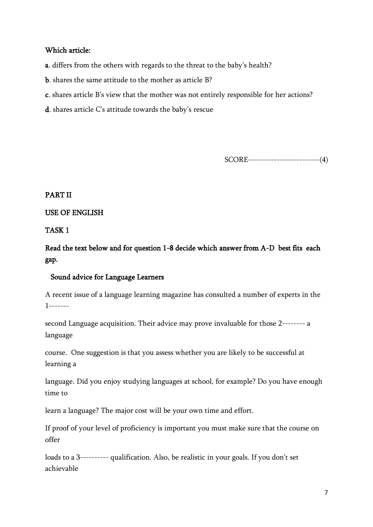### Which article:

a. differs from the others with regards to the threat to the baby's health?

b. shares the same attitude to the mother as article B?

c. shares article B's view that the mother was not entirely responsible for her actions?

d. shares article C's attitude towards the baby's rescue

SCORE-------------------------(4)

### PART II

### USE OF ENGLISH

### TASK 1

Read the text below and for question 1-8 decide which answer from A-D best fits each gap.

# Sound advice for Language Learners

A recent issue of a language learning magazine has consulted a number of experts in the 1-------

second Language acquisition. Their advice may prove invaluable for those 2-------- a language

course. One suggestion is that you assess whether you are likely to be successful at learning a

language. Did you enjoy studying languages at school, for example? Do you have enough time to

learn a language? The major cost will be your own time and effort.

If proof of your level of proficiency is important you must make sure that the course on offer

loads to a 3---------- qualification. Also, be realistic in your goals. If you don't set achievable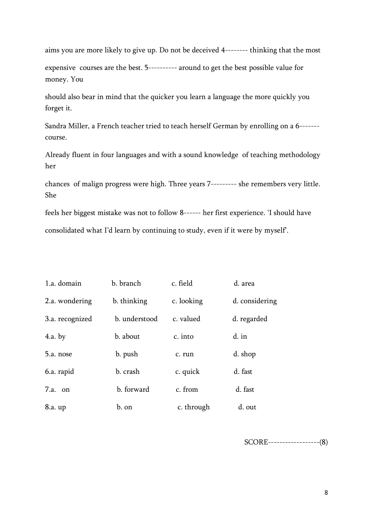aims you are more likely to give up. Do not be deceived 4-------- thinking that the most

expensive courses are the best. 5---------- around to get the best possible value for money. You

should also bear in mind that the quicker you learn a language the more quickly you forget it.

Sandra Miller, a French teacher tried to teach herself German by enrolling on a 6------ course.

Already fluent in four languages and with a sound knowledge of teaching methodology her

chances of malign progress were high. Three years 7--------- she remembers very little. She

feels her biggest mistake was not to follow 8------ her first experience. 'I should have consolidated what I'd learn by continuing to study, even if it were by myself'.

| 1.a. domain     | b. branch     | c. field   | d. area        |
|-----------------|---------------|------------|----------------|
| 2.a. wondering  | b. thinking   | c. looking | d. considering |
| 3.a. recognized | b. understood | c. valued  | d. regarded    |
| 4.a. by         | b. about      | c. into    | d. in          |
| 5.a. nose       | b. push       | c. run     | d. shop        |
| 6.a. rapid      | b. crash      | c. quick   | d. fast        |
| 7.a. on         | b. forward    | c. from    | d. fast        |
| 8.a. up         | b. on         | c. through | d. out         |

SCORE------------------(8)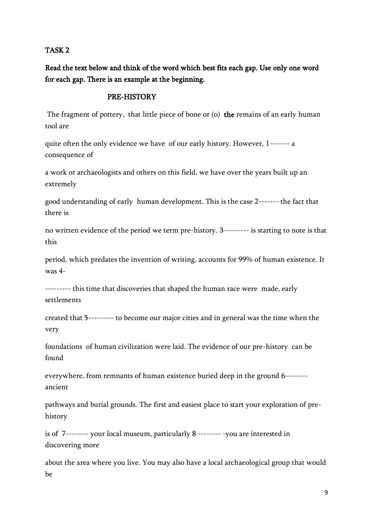# TASK 2

Read the text below and think of the word which best fits each gap. Use only one word for each gap. There is an example at the beginning.

#### PRE-HISTORY

The fragment of pottery, that little piece of bone or (o) **the** remains of an early human tool are

quite often the only evidence we have of our early history. However, 1------- a consequence of

a work or archaeologists and others on this field, we have over the years built up an extremely

good understanding of early human development. This is the case 2------- the fact that there is

no written evidence of the period we term pre-history. 3--------- is starting to note is that this

period, which predates the invention of writing, accounts for 99% of human existence. It was 4-

--------- this time that discoveries that shaped the human race were made, early settlements

created that 5--------- to become our major cities and in general was the time when the very

foundations of human civilization were laid. The evidence of our pre-history can be found

everywhere, from remnants of human existence buried deep in the ground 6------- ancient

pathways and burial grounds. The first and easiest place to start your exploration of prehistory

is of 7-------- your local museum, particularly 8 -------- -you are interested in discovering more

about the area where you live. You may also have a local archaeological group that would be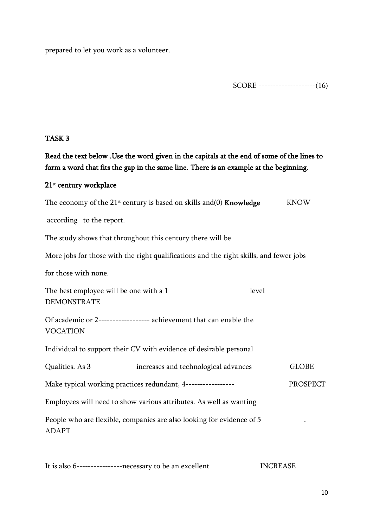prepared to let you work as a volunteer.

SCORE --------------------(16)

### TASK 3

Read the text below .Use the word given in the capitals at the end of some of the lines to form a word that fits the gap in the same line. There is an example at the beginning.

### 21<sub>st</sub> century workplace

| The economy of the $21st$ century is based on skills and(0) <b>Knowledge</b>                          | <b>KNOW</b>  |
|-------------------------------------------------------------------------------------------------------|--------------|
| according to the report.                                                                              |              |
| The study shows that throughout this century there will be                                            |              |
| More jobs for those with the right qualifications and the right skills, and fewer jobs                |              |
| for those with none.                                                                                  |              |
| The best employee will be one with a 1--------------------------- level<br><b>DEMONSTRATE</b>         |              |
| Of academic or 2----------------- achievement that can enable the<br><b>VOCATION</b>                  |              |
| Individual to support their CV with evidence of desirable personal                                    |              |
| Qualities. As 3----------------increases and technological advances                                   | <b>GLOBE</b> |
| Make typical working practices redundant, 4-----------------                                          | PROSPECT     |
| Employees will need to show various attributes. As well as wanting                                    |              |
| People who are flexible, companies are also looking for evidence of 5---------------.<br><b>ADAPT</b> |              |
|                                                                                                       |              |

It is also 6----------------necessary to be an excellent INCREASE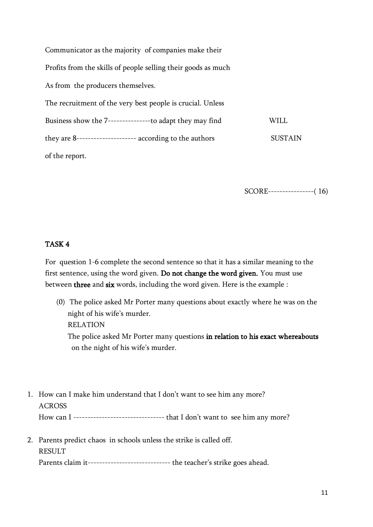| Communicator as the majority of companies make their          |                |  |  |  |
|---------------------------------------------------------------|----------------|--|--|--|
| Profits from the skills of people selling their goods as much |                |  |  |  |
| As from the producers themselves.                             |                |  |  |  |
| The recruitment of the very best people is crucial. Unless    |                |  |  |  |
|                                                               | WILL           |  |  |  |
| they are 8--------------------- according to the authors      | <b>SUSTAIN</b> |  |  |  |
| of the report.                                                |                |  |  |  |

SCORE----------------( 16)

#### TASK 4

For question 1-6 complete the second sentence so that it has a similar meaning to the first sentence, using the word given. Do not change the word given. You must use between three and six words, including the word given. Here is the example :

- (0) The police asked Mr Porter many questions about exactly where he was on the night of his wife's murder. RELATION The police asked Mr Porter many questions in relation to his exact whereabouts on the night of his wife's murder.
- 1. How can I make him understand that I don't want to see him any more? ACROSS How can I -------------------------------- that I don't want to see him any more?
- 2. Parents predict chaos in schools unless the strike is called off. RESULT

Parents claim it----------------------------- the teacher's strike goes ahead.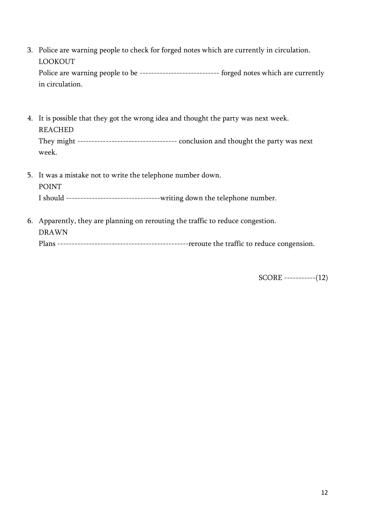| 3. Police are warning people to check for forged notes which are currently in circulation. |
|--------------------------------------------------------------------------------------------|
| LOOKOUT                                                                                    |
| forged notes which are currently                                                           |
| in circulation.                                                                            |

- 4. It is possible that they got the wrong idea and thought the party was next week. REACHED They might ----------------------------------- conclusion and thought the party was next week.
- 5. It was a mistake not to write the telephone number down.

POINT I should ---------------------------------writing down the telephone number.

6. Apparently, they are planning on rerouting the traffic to reduce congestion. DRAWN Plans ----------------------------------------------reroute the traffic to reduce congension.

SCORE -----------(12)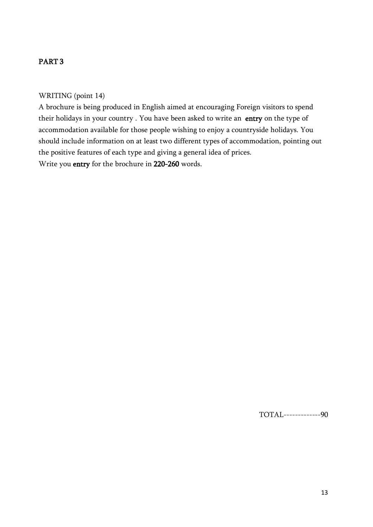# PART 3

#### WRITING (point 14)

A brochure is being produced in English aimed at encouraging Foreign visitors to spend their holidays in your country . You have been asked to write an entry on the type of accommodation available for those people wishing to enjoy a countryside holidays. You should include information on at least two different types of accommodation, pointing out the positive features of each type and giving a general idea of prices. Write you entry for the brochure in 220-260 words.

TOTAL-------------90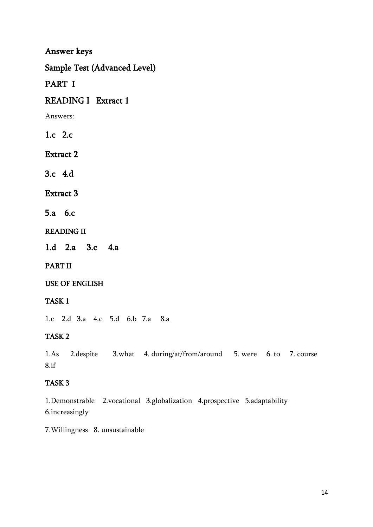# Answer keys

Sample Test (Advanced Level)

PART I

# READING I Extract 1

Answers:

1.c 2.c

Extract 2

3.c 4.d

Extract 3

5.a 6.c

# READING II

1.d 2.a 3.c 4.a

PART II

# USE OF ENGLISH

TASK 1

1.c 2.d 3.a 4.c 5.d 6.b 7.a 8.a

# TASK 2

1.As 2.despite 3.what 4. during/at/from/around 5. were 6. to 7. course 8.if

# TASK 3

1.Demonstrable 2.vocational 3.globalization 4.prospective 5.adaptability 6.increasingly

7.Willingness 8. unsustainable